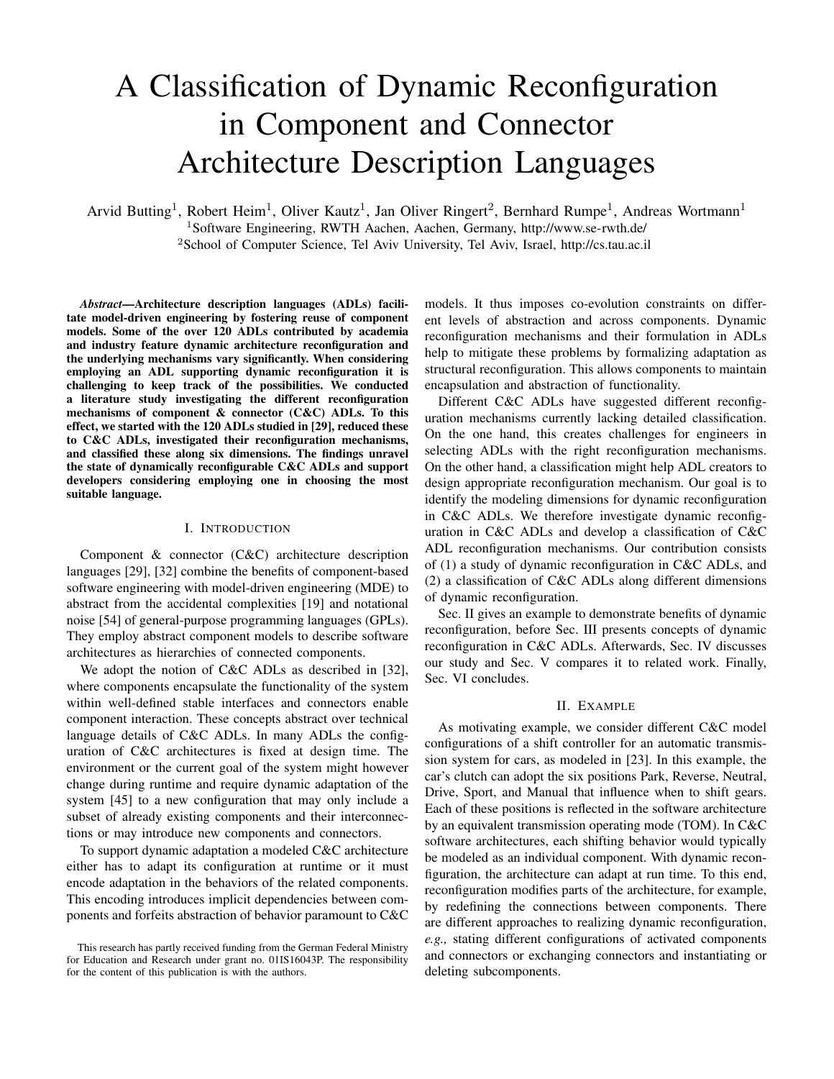# A Classification of Dynamic Reconfiguration in Component and Connector Architecture Description Languages

Arvid Butting<sup>1</sup>, Robert Heim<sup>1</sup>, Oliver Kautz<sup>1</sup>, Jan Oliver Ringert<sup>2</sup>, Bernhard Rumpe<sup>1</sup>, Andreas Wortmann<sup>1</sup>

<sup>1</sup>Software Engineering, RWTH Aachen, Aachen, Germany,<http://www.se-rwth.de/>

<sup>2</sup>School of Computer Science, Tel Aviv University, Tel Aviv, Israel,<http://cs.tau.ac.il>

*Abstract*—Architecture description languages (ADLs) facilitate model-driven engineering by fostering reuse of component models. Some of the over 120 ADLs contributed by academia and industry feature dynamic architecture reconfiguration and the underlying mechanisms vary significantly. When considering employing an ADL supporting dynamic reconfiguration it is challenging to keep track of the possibilities. We conducted a literature study investigating the different reconfiguration mechanisms of component & connector (C&C) ADLs. To this effect, we started with the 120 ADLs studied in [\[29\]](#page-5-0), reduced these to C&C ADLs, investigated their reconfiguration mechanisms, and classified these along six dimensions. The findings unravel the state of dynamically reconfigurable C&C ADLs and support developers considering employing one in choosing the most suitable language.

#### I. INTRODUCTION

Component & connector (C&C) architecture description languages [\[29\]](#page-5-0), [\[32\]](#page-5-1) combine the benefits of component-based software engineering with model-driven engineering (MDE) to abstract from the accidental complexities [\[19\]](#page-5-2) and notational noise [\[54\]](#page-6-0) of general-purpose programming languages (GPLs). They employ abstract component models to describe software architectures as hierarchies of connected components.

We adopt the notion of C&C ADLs as described in [\[32\]](#page-5-1), where components encapsulate the functionality of the system within well-defined stable interfaces and connectors enable component interaction. These concepts abstract over technical language details of C&C ADLs. In many ADLs the configuration of C&C architectures is fixed at design time. The environment or the current goal of the system might however change during runtime and require dynamic adaptation of the system [\[45\]](#page-5-3) to a new configuration that may only include a subset of already existing components and their interconnections or may introduce new components and connectors.

To support dynamic adaptation a modeled C&C architecture either has to adapt its configuration at runtime or it must encode adaptation in the behaviors of the related components. This encoding introduces implicit dependencies between components and forfeits abstraction of behavior paramount to C&C

models. It thus imposes co-evolution constraints on different levels of abstraction and across components. Dynamic reconfiguration mechanisms and their formulation in ADLs help to mitigate these problems by formalizing adaptation as structural reconfiguration. This allows components to maintain encapsulation and abstraction of functionality.

Different C&C ADLs have suggested different reconfiguration mechanisms currently lacking detailed classification. On the one hand, this creates challenges for engineers in selecting ADLs with the right reconfiguration mechanisms. On the other hand, a classification might help ADL creators to design appropriate reconfiguration mechanism. Our goal is to identify the modeling dimensions for dynamic reconfiguration in C&C ADLs. We therefore investigate dynamic reconfiguration in C&C ADLs and develop a classification of C&C ADL reconfiguration mechanisms. Our contribution consists of (1) a study of dynamic reconfiguration in C&C ADLs, and (2) a classification of C&C ADLs along different dimensions of dynamic reconfiguration.

[Sec. II](#page-0-0) gives an example to demonstrate benefits of dynamic reconfiguration, before [Sec. III](#page-1-0) presents concepts of dynamic reconfiguration in C&C ADLs. Afterwards, [Sec. IV](#page-3-0) discusses our study and [Sec. V](#page-3-1) compares it to related work. Finally, [Sec. VI](#page-4-0) concludes.

## II. EXAMPLE

<span id="page-0-0"></span>As motivating example, we consider different C&C model configurations of a shift controller for an automatic transmission system for cars, as modeled in [\[23\]](#page-5-4). In this example, the car's clutch can adopt the six positions Park, Reverse, Neutral, Drive, Sport, and Manual that influence when to shift gears. Each of these positions is reflected in the software architecture by an equivalent transmission operating mode (TOM). In C&C software architectures, each shifting behavior would typically be modeled as an individual component. With dynamic reconfiguration, the architecture can adapt at run time. To this end, reconfiguration modifies parts of the architecture, for example, by redefining the connections between components. There are different approaches to realizing dynamic reconfiguration, *e.g.,* stating different configurations of activated components and connectors or exchanging connectors and instantiating or deleting subcomponents.

This research has partly received funding from the German Federal Ministry for Education and Research under grant no. 01IS16043P. The responsibility for the content of this publication is with the authors.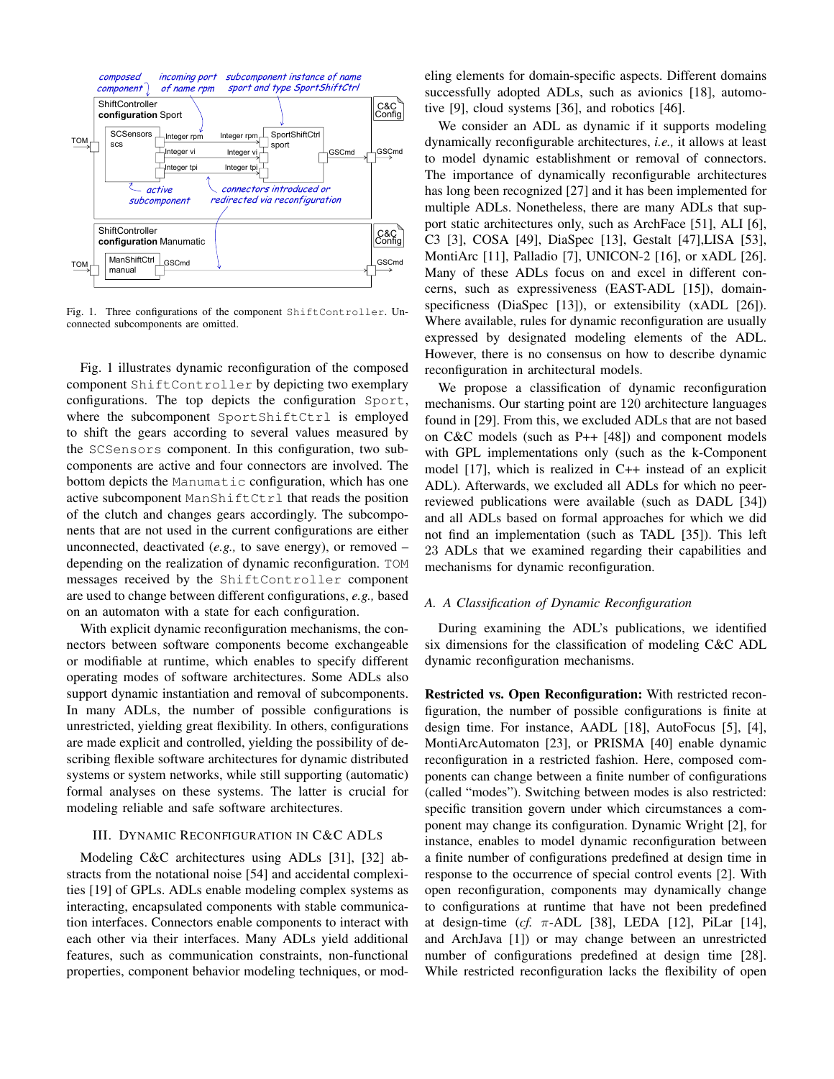

<span id="page-1-1"></span>Fig. 1. Three configurations of the component ShiftController. Unconnected subcomponents are omitted.

[Fig. 1](#page-1-1) illustrates dynamic reconfiguration of the composed component ShiftController by depicting two exemplary configurations. The top depicts the configuration Sport, where the subcomponent SportShiftCtrl is employed to shift the gears according to several values measured by the SCSensors component. In this configuration, two subcomponents are active and four connectors are involved. The bottom depicts the Manumatic configuration, which has one active subcomponent ManShiftCtrl that reads the position of the clutch and changes gears accordingly. The subcomponents that are not used in the current configurations are either unconnected, deactivated (*e.g.,* to save energy), or removed – depending on the realization of dynamic reconfiguration. TOM messages received by the ShiftController component are used to change between different configurations, *e.g.,* based on an automaton with a state for each configuration.

With explicit dynamic reconfiguration mechanisms, the connectors between software components become exchangeable or modifiable at runtime, which enables to specify different operating modes of software architectures. Some ADLs also support dynamic instantiation and removal of subcomponents. In many ADLs, the number of possible configurations is unrestricted, yielding great flexibility. In others, configurations are made explicit and controlled, yielding the possibility of describing flexible software architectures for dynamic distributed systems or system networks, while still supporting (automatic) formal analyses on these systems. The latter is crucial for modeling reliable and safe software architectures.

# <span id="page-1-0"></span>III. DYNAMIC RECONFIGURATION IN C&C ADLS

Modeling C&C architectures using ADLs [\[31\]](#page-5-5), [\[32\]](#page-5-1) abstracts from the notational noise [\[54\]](#page-6-0) and accidental complexities [\[19\]](#page-5-2) of GPLs. ADLs enable modeling complex systems as interacting, encapsulated components with stable communication interfaces. Connectors enable components to interact with each other via their interfaces. Many ADLs yield additional features, such as communication constraints, non-functional properties, component behavior modeling techniques, or modeling elements for domain-specific aspects. Different domains successfully adopted ADLs, such as avionics [\[18\]](#page-5-6), automotive [\[9\]](#page-5-7), cloud systems [\[36\]](#page-5-8), and robotics [\[46\]](#page-5-9).

We consider an ADL as dynamic if it supports modeling dynamically reconfigurable architectures, *i.e.,* it allows at least to model dynamic establishment or removal of connectors. The importance of dynamically reconfigurable architectures has long been recognized [\[27\]](#page-5-10) and it has been implemented for multiple ADLs. Nonetheless, there are many ADLs that support static architectures only, such as ArchFace [\[51\]](#page-5-11), ALI [\[6\]](#page-4-1), C3 [\[3\]](#page-4-2), COSA [\[49\]](#page-5-12), DiaSpec [\[13\]](#page-5-13), Gestalt [\[47\]](#page-5-14),LISA [\[53\]](#page-6-1), MontiArc [\[11\]](#page-5-15), Palladio [\[7\]](#page-4-3), UNICON-2 [\[16\]](#page-5-16), or xADL [\[26\]](#page-5-17). Many of these ADLs focus on and excel in different concerns, such as expressiveness (EAST-ADL [\[15\]](#page-5-18)), domain-specificness (DiaSpec [\[13\]](#page-5-13)), or extensibility (xADL [\[26\]](#page-5-17)). Where available, rules for dynamic reconfiguration are usually expressed by designated modeling elements of the ADL. However, there is no consensus on how to describe dynamic reconfiguration in architectural models.

We propose a classification of dynamic reconfiguration mechanisms. Our starting point are 120 architecture languages found in [\[29\]](#page-5-0). From this, we excluded ADLs that are not based on C&C models (such as P++ [\[48\]](#page-5-19)) and component models with GPL implementations only (such as the k-Component model [\[17\]](#page-5-20), which is realized in C++ instead of an explicit ADL). Afterwards, we excluded all ADLs for which no peerreviewed publications were available (such as DADL [\[34\]](#page-5-21)) and all ADLs based on formal approaches for which we did not find an implementation (such as TADL [\[35\]](#page-5-22)). This left 23 ADLs that we examined regarding their capabilities and mechanisms for dynamic reconfiguration.

#### *A. A Classification of Dynamic Reconfiguration*

During examining the ADL's publications, we identified six dimensions for the classification of modeling C&C ADL dynamic reconfiguration mechanisms.

Restricted vs. Open Reconfiguration: With restricted reconfiguration, the number of possible configurations is finite at design time. For instance, AADL [\[18\]](#page-5-6), AutoFocus [\[5\]](#page-4-4), [\[4\]](#page-4-5), MontiArcAutomaton [\[23\]](#page-5-4), or PRISMA [\[40\]](#page-5-23) enable dynamic reconfiguration in a restricted fashion. Here, composed components can change between a finite number of configurations (called "modes"). Switching between modes is also restricted: specific transition govern under which circumstances a component may change its configuration. Dynamic Wright [\[2\]](#page-4-6), for instance, enables to model dynamic reconfiguration between a finite number of configurations predefined at design time in response to the occurrence of special control events [\[2\]](#page-4-6). With open reconfiguration, components may dynamically change to configurations at runtime that have not been predefined at design-time ( $cf.$   $\pi$ -ADL [\[38\]](#page-5-24), LEDA [\[12\]](#page-5-25), PiLar [\[14\]](#page-5-26), and ArchJava [\[1\]](#page-4-7)) or may change between an unrestricted number of configurations predefined at design time [\[28\]](#page-5-27). While restricted reconfiguration lacks the flexibility of open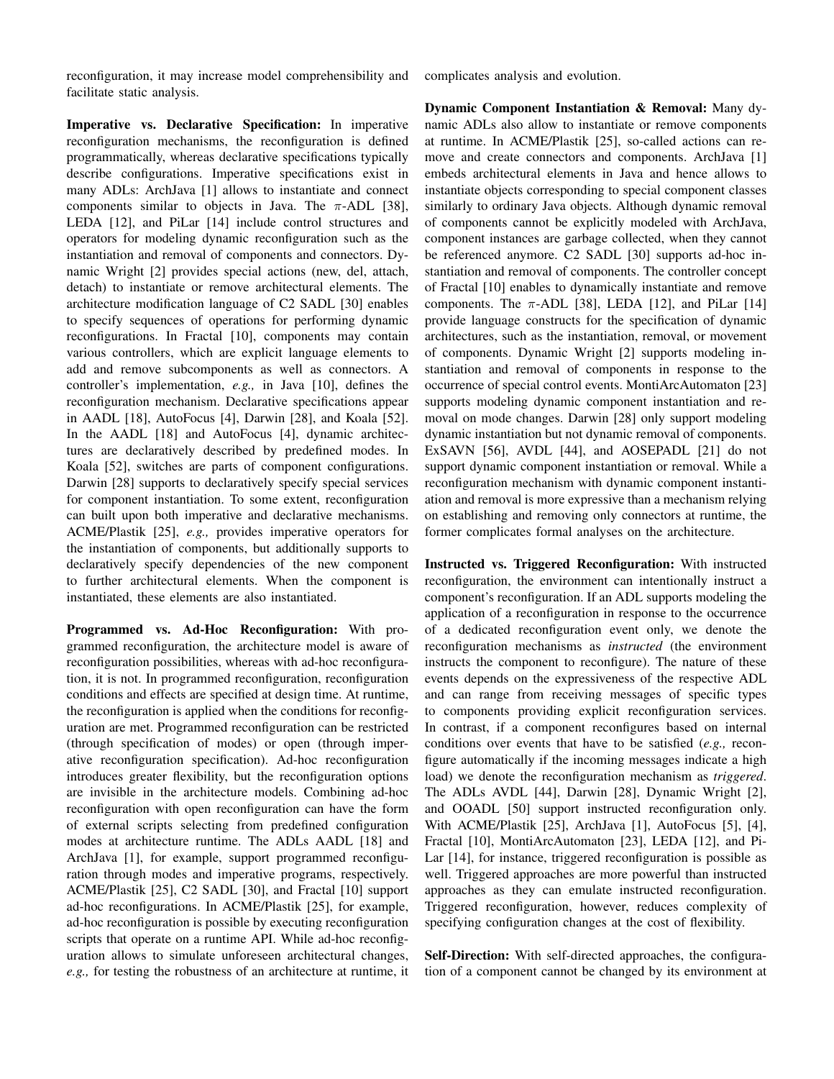reconfiguration, it may increase model comprehensibility and facilitate static analysis.

Imperative vs. Declarative Specification: In imperative reconfiguration mechanisms, the reconfiguration is defined programmatically, whereas declarative specifications typically describe configurations. Imperative specifications exist in many ADLs: ArchJava [\[1\]](#page-4-7) allows to instantiate and connect components similar to objects in Java. The  $\pi$ -ADL [\[38\]](#page-5-24), LEDA [\[12\]](#page-5-25), and PiLar [\[14\]](#page-5-26) include control structures and operators for modeling dynamic reconfiguration such as the instantiation and removal of components and connectors. Dynamic Wright [\[2\]](#page-4-6) provides special actions (new, del, attach, detach) to instantiate or remove architectural elements. The architecture modification language of C2 SADL [\[30\]](#page-5-28) enables to specify sequences of operations for performing dynamic reconfigurations. In Fractal [\[10\]](#page-5-29), components may contain various controllers, which are explicit language elements to add and remove subcomponents as well as connectors. A controller's implementation, *e.g.,* in Java [\[10\]](#page-5-29), defines the reconfiguration mechanism. Declarative specifications appear in AADL [\[18\]](#page-5-6), AutoFocus [\[4\]](#page-4-5), Darwin [\[28\]](#page-5-27), and Koala [\[52\]](#page-6-2). In the AADL [\[18\]](#page-5-6) and AutoFocus [\[4\]](#page-4-5), dynamic architectures are declaratively described by predefined modes. In Koala [\[52\]](#page-6-2), switches are parts of component configurations. Darwin [\[28\]](#page-5-27) supports to declaratively specify special services for component instantiation. To some extent, reconfiguration can built upon both imperative and declarative mechanisms. ACME/Plastik [\[25\]](#page-5-30), *e.g.,* provides imperative operators for the instantiation of components, but additionally supports to declaratively specify dependencies of the new component to further architectural elements. When the component is instantiated, these elements are also instantiated.

Programmed vs. Ad-Hoc Reconfiguration: With programmed reconfiguration, the architecture model is aware of reconfiguration possibilities, whereas with ad-hoc reconfiguration, it is not. In programmed reconfiguration, reconfiguration conditions and effects are specified at design time. At runtime, the reconfiguration is applied when the conditions for reconfiguration are met. Programmed reconfiguration can be restricted (through specification of modes) or open (through imperative reconfiguration specification). Ad-hoc reconfiguration introduces greater flexibility, but the reconfiguration options are invisible in the architecture models. Combining ad-hoc reconfiguration with open reconfiguration can have the form of external scripts selecting from predefined configuration modes at architecture runtime. The ADLs AADL [\[18\]](#page-5-6) and ArchJava [\[1\]](#page-4-7), for example, support programmed reconfiguration through modes and imperative programs, respectively. ACME/Plastik [\[25\]](#page-5-30), C2 SADL [\[30\]](#page-5-28), and Fractal [\[10\]](#page-5-29) support ad-hoc reconfigurations. In ACME/Plastik [\[25\]](#page-5-30), for example, ad-hoc reconfiguration is possible by executing reconfiguration scripts that operate on a runtime API. While ad-hoc reconfiguration allows to simulate unforeseen architectural changes, *e.g.,* for testing the robustness of an architecture at runtime, it complicates analysis and evolution.

Dynamic Component Instantiation & Removal: Many dynamic ADLs also allow to instantiate or remove components at runtime. In ACME/Plastik [\[25\]](#page-5-30), so-called actions can remove and create connectors and components. ArchJava [\[1\]](#page-4-7) embeds architectural elements in Java and hence allows to instantiate objects corresponding to special component classes similarly to ordinary Java objects. Although dynamic removal of components cannot be explicitly modeled with ArchJava, component instances are garbage collected, when they cannot be referenced anymore. C2 SADL [\[30\]](#page-5-28) supports ad-hoc instantiation and removal of components. The controller concept of Fractal [\[10\]](#page-5-29) enables to dynamically instantiate and remove components. The  $\pi$ -ADL [\[38\]](#page-5-24), LEDA [\[12\]](#page-5-25), and PiLar [\[14\]](#page-5-26) provide language constructs for the specification of dynamic architectures, such as the instantiation, removal, or movement of components. Dynamic Wright [\[2\]](#page-4-6) supports modeling instantiation and removal of components in response to the occurrence of special control events. MontiArcAutomaton [\[23\]](#page-5-4) supports modeling dynamic component instantiation and removal on mode changes. Darwin [\[28\]](#page-5-27) only support modeling dynamic instantiation but not dynamic removal of components. ExSAVN [\[56\]](#page-6-3), AVDL [\[44\]](#page-5-31), and AOSEPADL [\[21\]](#page-5-32) do not support dynamic component instantiation or removal. While a reconfiguration mechanism with dynamic component instantiation and removal is more expressive than a mechanism relying on establishing and removing only connectors at runtime, the former complicates formal analyses on the architecture.

Instructed vs. Triggered Reconfiguration: With instructed reconfiguration, the environment can intentionally instruct a component's reconfiguration. If an ADL supports modeling the application of a reconfiguration in response to the occurrence of a dedicated reconfiguration event only, we denote the reconfiguration mechanisms as *instructed* (the environment instructs the component to reconfigure). The nature of these events depends on the expressiveness of the respective ADL and can range from receiving messages of specific types to components providing explicit reconfiguration services. In contrast, if a component reconfigures based on internal conditions over events that have to be satisfied (*e.g.,* reconfigure automatically if the incoming messages indicate a high load) we denote the reconfiguration mechanism as *triggered*. The ADLs AVDL [\[44\]](#page-5-31), Darwin [\[28\]](#page-5-27), Dynamic Wright [\[2\]](#page-4-6), and OOADL [\[50\]](#page-5-33) support instructed reconfiguration only. With ACME/Plastik [\[25\]](#page-5-30), ArchJava [\[1\]](#page-4-7), AutoFocus [\[5\]](#page-4-4), [\[4\]](#page-4-5), Fractal [\[10\]](#page-5-29), MontiArcAutomaton [\[23\]](#page-5-4), LEDA [\[12\]](#page-5-25), and Pi-Lar [\[14\]](#page-5-26), for instance, triggered reconfiguration is possible as well. Triggered approaches are more powerful than instructed approaches as they can emulate instructed reconfiguration. Triggered reconfiguration, however, reduces complexity of specifying configuration changes at the cost of flexibility.

Self-Direction: With self-directed approaches, the configuration of a component cannot be changed by its environment at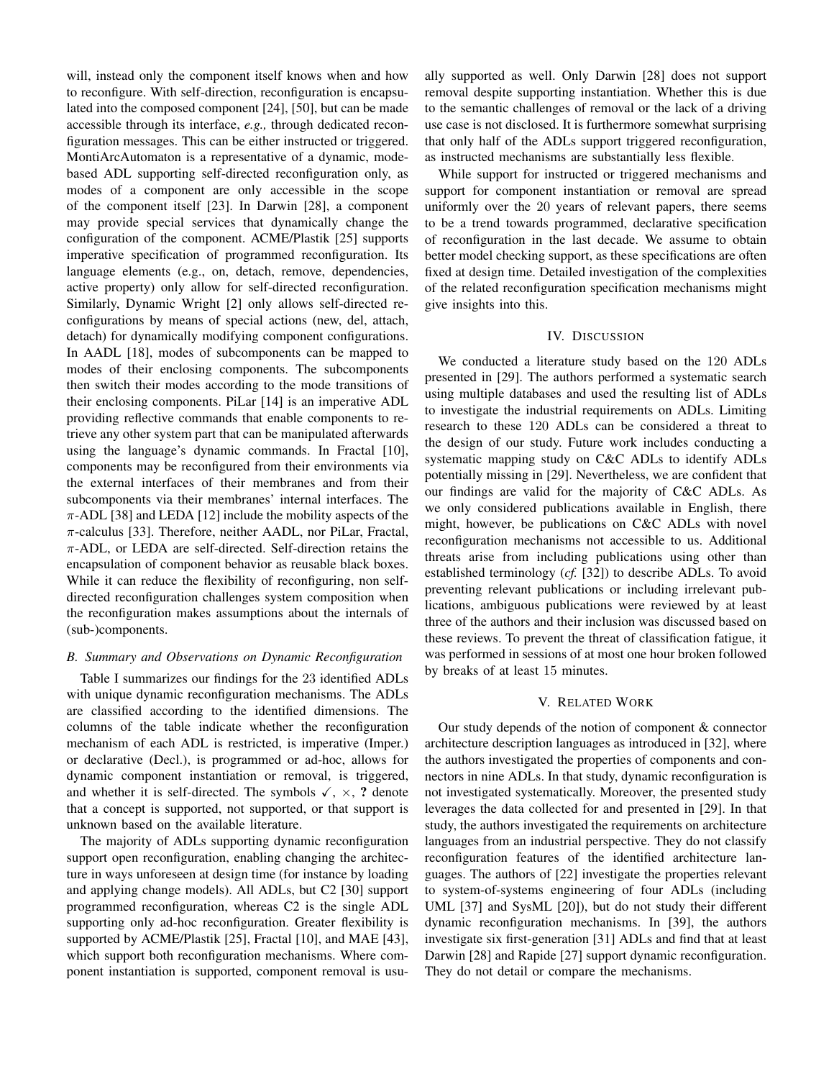will, instead only the component itself knows when and how to reconfigure. With self-direction, reconfiguration is encapsulated into the composed component [\[24\]](#page-5-34), [\[50\]](#page-5-33), but can be made accessible through its interface, *e.g.,* through dedicated reconfiguration messages. This can be either instructed or triggered. MontiArcAutomaton is a representative of a dynamic, modebased ADL supporting self-directed reconfiguration only, as modes of a component are only accessible in the scope of the component itself [\[23\]](#page-5-4). In Darwin [\[28\]](#page-5-27), a component may provide special services that dynamically change the configuration of the component. ACME/Plastik [\[25\]](#page-5-30) supports imperative specification of programmed reconfiguration. Its language elements (e.g., on, detach, remove, dependencies, active property) only allow for self-directed reconfiguration. Similarly, Dynamic Wright [\[2\]](#page-4-6) only allows self-directed reconfigurations by means of special actions (new, del, attach, detach) for dynamically modifying component configurations. In AADL [\[18\]](#page-5-6), modes of subcomponents can be mapped to modes of their enclosing components. The subcomponents then switch their modes according to the mode transitions of their enclosing components. PiLar [\[14\]](#page-5-26) is an imperative ADL providing reflective commands that enable components to retrieve any other system part that can be manipulated afterwards using the language's dynamic commands. In Fractal [\[10\]](#page-5-29), components may be reconfigured from their environments via the external interfaces of their membranes and from their subcomponents via their membranes' internal interfaces. The  $\pi$ -ADL [\[38\]](#page-5-24) and LEDA [\[12\]](#page-5-25) include the mobility aspects of the  $\pi$ -calculus [\[33\]](#page-5-35). Therefore, neither AADL, nor PiLar, Fractal,  $\pi$ -ADL, or LEDA are self-directed. Self-direction retains the encapsulation of component behavior as reusable black boxes. While it can reduce the flexibility of reconfiguring, non selfdirected reconfiguration challenges system composition when the reconfiguration makes assumptions about the internals of (sub-)components.

#### *B. Summary and Observations on Dynamic Reconfiguration*

[Table I](#page-4-8) summarizes our findings for the 23 identified ADLs with unique dynamic reconfiguration mechanisms. The ADLs are classified according to the identified dimensions. The columns of the table indicate whether the reconfiguration mechanism of each ADL is restricted, is imperative (Imper.) or declarative (Decl.), is programmed or ad-hoc, allows for dynamic component instantiation or removal, is triggered, and whether it is self-directed. The symbols  $\checkmark$ ,  $\times$ , ? denote that a concept is supported, not supported, or that support is unknown based on the available literature.

The majority of ADLs supporting dynamic reconfiguration support open reconfiguration, enabling changing the architecture in ways unforeseen at design time (for instance by loading and applying change models). All ADLs, but C2 [\[30\]](#page-5-28) support programmed reconfiguration, whereas C2 is the single ADL supporting only ad-hoc reconfiguration. Greater flexibility is supported by ACME/Plastik [\[25\]](#page-5-30), Fractal [\[10\]](#page-5-29), and MAE [\[43\]](#page-5-36), which support both reconfiguration mechanisms. Where component instantiation is supported, component removal is usually supported as well. Only Darwin [\[28\]](#page-5-27) does not support removal despite supporting instantiation. Whether this is due to the semantic challenges of removal or the lack of a driving use case is not disclosed. It is furthermore somewhat surprising that only half of the ADLs support triggered reconfiguration, as instructed mechanisms are substantially less flexible.

While support for instructed or triggered mechanisms and support for component instantiation or removal are spread uniformly over the 20 years of relevant papers, there seems to be a trend towards programmed, declarative specification of reconfiguration in the last decade. We assume to obtain better model checking support, as these specifications are often fixed at design time. Detailed investigation of the complexities of the related reconfiguration specification mechanisms might give insights into this.

## IV. DISCUSSION

<span id="page-3-0"></span>We conducted a literature study based on the 120 ADLs presented in [\[29\]](#page-5-0). The authors performed a systematic search using multiple databases and used the resulting list of ADLs to investigate the industrial requirements on ADLs. Limiting research to these 120 ADLs can be considered a threat to the design of our study. Future work includes conducting a systematic mapping study on C&C ADLs to identify ADLs potentially missing in [\[29\]](#page-5-0). Nevertheless, we are confident that our findings are valid for the majority of C&C ADLs. As we only considered publications available in English, there might, however, be publications on C&C ADLs with novel reconfiguration mechanisms not accessible to us. Additional threats arise from including publications using other than established terminology (*cf.* [\[32\]](#page-5-1)) to describe ADLs. To avoid preventing relevant publications or including irrelevant publications, ambiguous publications were reviewed by at least three of the authors and their inclusion was discussed based on these reviews. To prevent the threat of classification fatigue, it was performed in sessions of at most one hour broken followed by breaks of at least 15 minutes.

### V. RELATED WORK

<span id="page-3-1"></span>Our study depends of the notion of component & connector architecture description languages as introduced in [\[32\]](#page-5-1), where the authors investigated the properties of components and connectors in nine ADLs. In that study, dynamic reconfiguration is not investigated systematically. Moreover, the presented study leverages the data collected for and presented in [\[29\]](#page-5-0). In that study, the authors investigated the requirements on architecture languages from an industrial perspective. They do not classify reconfiguration features of the identified architecture languages. The authors of [\[22\]](#page-5-37) investigate the properties relevant to system-of-systems engineering of four ADLs (including UML [\[37\]](#page-5-38) and SysML [\[20\]](#page-5-39)), but do not study their different dynamic reconfiguration mechanisms. In [\[39\]](#page-5-40), the authors investigate six first-generation [\[31\]](#page-5-5) ADLs and find that at least Darwin [\[28\]](#page-5-27) and Rapide [\[27\]](#page-5-10) support dynamic reconfiguration. They do not detail or compare the mechanisms.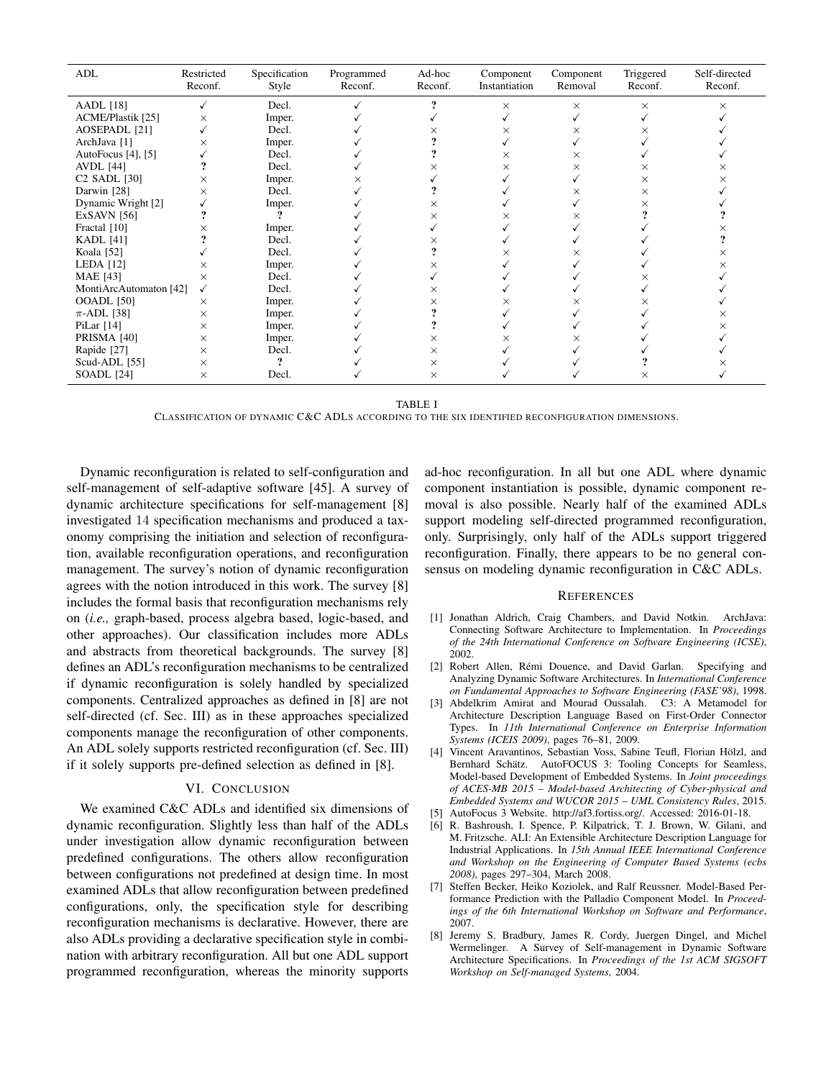| ADL                      | Restricted<br>Reconf. | Specification<br>Style | Programmed<br>Reconf. | Ad-hoc<br>Reconf. | Component<br>Instantiation | Component<br>Removal | Triggered<br>Reconf. | Self-directed<br>Reconf. |
|--------------------------|-----------------------|------------------------|-----------------------|-------------------|----------------------------|----------------------|----------------------|--------------------------|
| <b>AADL</b> [18]         |                       | Decl.                  |                       |                   | ×                          | $\times$             | X                    | $\times$                 |
| ACME/Plastik [25]        | $\times$              | Imper.                 |                       |                   |                            |                      |                      |                          |
| <b>AOSEPADL</b> [21]     |                       | Decl.                  |                       |                   | ×                          | ×                    | ×                    |                          |
| ArchJava [1]             | $\times$              | Imper.                 |                       |                   |                            |                      |                      |                          |
| AutoFocus [4], [5]       |                       | Decl.                  |                       |                   | ×                          | $\times$             |                      |                          |
| <b>AVDL</b> [44]         |                       | Decl.                  |                       | ×                 | ×                          | ×                    | ×                    | ×                        |
| C <sub>2</sub> SADL [30] | $\times$              | Imper.                 | $\times$              |                   |                            |                      | X                    | ×                        |
| Darwin [28]              | $\times$              | Decl.                  |                       |                   |                            | ×                    | $\times$             |                          |
| Dynamic Wright [2]       |                       | Imper.                 |                       | $\times$          |                            |                      | ×                    |                          |
| <b>ExSAVN</b> [56]       |                       |                        |                       | X                 | ×                          | ×                    |                      |                          |
| Fractal [10]             | ×                     | Imper.                 |                       |                   |                            |                      |                      |                          |
| <b>KADL</b> [41]         |                       | Decl.                  |                       | ×                 |                            |                      |                      |                          |
| Koala [52]               |                       | Decl.                  |                       |                   |                            | ×                    |                      |                          |
| LEDA [12]                | $\times$              | Imper.                 |                       | $\times$          |                            |                      |                      |                          |
| <b>MAE</b> [43]          | $\times$              | Decl.                  |                       |                   |                            |                      |                      |                          |
| MontiArcAutomaton [42]   | ✓                     | Decl.                  |                       | X                 |                            |                      |                      |                          |
| <b>OOADL</b> [50]        | ×                     | Imper.                 |                       | ×                 | ×                          | ×                    | ×                    |                          |
| $\pi$ -ADL [38]          | $\times$              | Imper.                 |                       |                   |                            |                      |                      |                          |
| PiLar $[14]$             | $\times$              | Imper.                 |                       |                   |                            |                      |                      |                          |
| PRISMA [40]              | X                     | Imper.                 |                       | $\times$          |                            | ×                    |                      |                          |
| Rapide [27]              | $\times$              | Decl.                  |                       | X                 |                            |                      |                      |                          |
| Scud-ADL $[55]$          | $\times$              | ?                      |                       | $\times$          |                            |                      |                      |                          |
| SOADL [24]               | $\times$              | Decl.                  |                       | $\times$          |                            |                      | ×                    |                          |

TABLE I

CLASSIFICATION OF DYNAMIC C&C ADLS ACCORDING TO THE SIX IDENTIFIED RECONFIGURATION DIMENSIONS.

<span id="page-4-8"></span>Dynamic reconfiguration is related to self-configuration and self-management of self-adaptive software [\[45\]](#page-5-3). A survey of dynamic architecture specifications for self-management [\[8\]](#page-4-9) investigated 14 specification mechanisms and produced a taxonomy comprising the initiation and selection of reconfiguration, available reconfiguration operations, and reconfiguration management. The survey's notion of dynamic reconfiguration agrees with the notion introduced in this work. The survey [\[8\]](#page-4-9) includes the formal basis that reconfiguration mechanisms rely on (*i.e.,* graph-based, process algebra based, logic-based, and other approaches). Our classification includes more ADLs and abstracts from theoretical backgrounds. The survey [\[8\]](#page-4-9) defines an ADL's reconfiguration mechanisms to be centralized if dynamic reconfiguration is solely handled by specialized components. Centralized approaches as defined in [\[8\]](#page-4-9) are not self-directed (cf. [Sec. III\)](#page-1-0) as in these approaches specialized components manage the reconfiguration of other components. An ADL solely supports restricted reconfiguration (cf. [Sec. III\)](#page-1-0) if it solely supports pre-defined selection as defined in [\[8\]](#page-4-9).

# VI. CONCLUSION

<span id="page-4-0"></span>We examined C&C ADLs and identified six dimensions of dynamic reconfiguration. Slightly less than half of the ADLs under investigation allow dynamic reconfiguration between predefined configurations. The others allow reconfiguration between configurations not predefined at design time. In most examined ADLs that allow reconfiguration between predefined configurations, only, the specification style for describing reconfiguration mechanisms is declarative. However, there are also ADLs providing a declarative specification style in combination with arbitrary reconfiguration. All but one ADL support programmed reconfiguration, whereas the minority supports

ad-hoc reconfiguration. In all but one ADL where dynamic component instantiation is possible, dynamic component removal is also possible. Nearly half of the examined ADLs support modeling self-directed programmed reconfiguration, only. Surprisingly, only half of the ADLs support triggered reconfiguration. Finally, there appears to be no general consensus on modeling dynamic reconfiguration in C&C ADLs.

#### **REFERENCES**

- <span id="page-4-7"></span>[1] Jonathan Aldrich, Craig Chambers, and David Notkin. ArchJava: Connecting Software Architecture to Implementation. In *Proceedings of the 24th International Conference on Software Engineering (ICSE)*, 2002.
- <span id="page-4-6"></span>[2] Robert Allen, Remi Douence, and David Garlan. Specifying and ´ Analyzing Dynamic Software Architectures. In *International Conference on Fundamental Approaches to Software Engineering (FASE'98)*, 1998.
- <span id="page-4-2"></span>[3] Abdelkrim Amirat and Mourad Oussalah. C3: A Metamodel for Architecture Description Language Based on First-Order Connector Types. In *11th International Conference on Enterprise Information Systems (ICEIS 2009)*, pages 76–81, 2009.
- <span id="page-4-5"></span>[4] Vincent Aravantinos, Sebastian Voss, Sabine Teufl, Florian Hölzl, and Bernhard Schätz. AutoFOCUS 3: Tooling Concepts for Seamless, Model-based Development of Embedded Systems. In *Joint proceedings of ACES-MB 2015 – Model-based Architecting of Cyber-physical and Embedded Systems and WUCOR 2015 – UML Consistency Rules*, 2015.
- <span id="page-4-4"></span>[5] AutoFocus 3 Website. [http://af3.fortiss.org/.](http://af3.fortiss.org/) Accessed: 2016-01-18.
- <span id="page-4-1"></span>[6] R. Bashroush, I. Spence, P. Kilpatrick, T. J. Brown, W. Gilani, and M. Fritzsche. ALI: An Extensible Architecture Description Language for Industrial Applications. In *15th Annual IEEE International Conference and Workshop on the Engineering of Computer Based Systems (ecbs 2008)*, pages 297–304, March 2008.
- <span id="page-4-3"></span>[7] Steffen Becker, Heiko Koziolek, and Ralf Reussner. Model-Based Performance Prediction with the Palladio Component Model. In *Proceedings of the 6th International Workshop on Software and Performance*, 2007.
- <span id="page-4-9"></span>[8] Jeremy S. Bradbury, James R. Cordy, Juergen Dingel, and Michel Wermelinger. A Survey of Self-management in Dynamic Software Architecture Specifications. In *Proceedings of the 1st ACM SIGSOFT Workshop on Self-managed Systems*, 2004.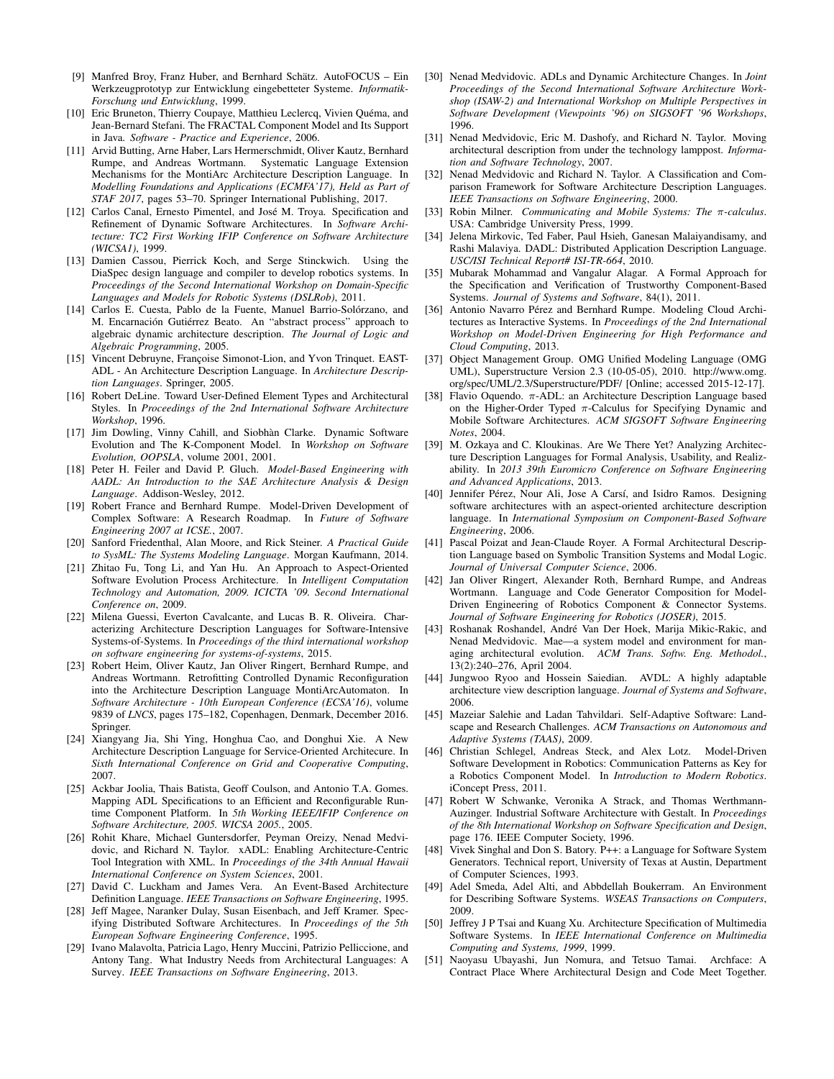- <span id="page-5-7"></span>[9] Manfred Broy, Franz Huber, and Bernhard Schätz. AutoFOCUS – Ein Werkzeugprototyp zur Entwicklung eingebetteter Systeme. *Informatik-Forschung und Entwicklung*, 1999.
- <span id="page-5-29"></span>[10] Eric Bruneton, Thierry Coupaye, Matthieu Leclercq, Vivien Quéma, and Jean-Bernard Stefani. The FRACTAL Component Model and Its Support in Java. *Software - Practice and Experience*, 2006.
- <span id="page-5-15"></span>[11] Arvid Butting, Arne Haber, Lars Hermerschmidt, Oliver Kautz, Bernhard Rumpe, and Andreas Wortmann. Systematic Language Extension Mechanisms for the MontiArc Architecture Description Language. In *Modelling Foundations and Applications (ECMFA'17), Held as Part of STAF 2017*, pages 53–70. Springer International Publishing, 2017.
- <span id="page-5-25"></span>[12] Carlos Canal, Ernesto Pimentel, and José M. Troya. Specification and Refinement of Dynamic Software Architectures. In *Software Architecture: TC2 First Working IFIP Conference on Software Architecture (WICSA1)*, 1999.
- <span id="page-5-13"></span>[13] Damien Cassou, Pierrick Koch, and Serge Stinckwich. Using the DiaSpec design language and compiler to develop robotics systems. In *Proceedings of the Second International Workshop on Domain-Specific Languages and Models for Robotic Systems (DSLRob)*, 2011.
- <span id="page-5-26"></span>[14] Carlos E. Cuesta, Pablo de la Fuente, Manuel Barrio-Solórzano, and M. Encarnación Gutiérrez Beato. An "abstract process" approach to algebraic dynamic architecture description. *The Journal of Logic and Algebraic Programming*, 2005.
- <span id="page-5-18"></span>[15] Vincent Debruyne, Françoise Simonot-Lion, and Yvon Trinquet. EAST-ADL - An Architecture Description Language. In *Architecture Description Languages*. Springer, 2005.
- <span id="page-5-16"></span>[16] Robert DeLine. Toward User-Defined Element Types and Architectural Styles. In *Proceedings of the 2nd International Software Architecture Workshop*, 1996.
- <span id="page-5-20"></span>[17] Jim Dowling, Vinny Cahill, and Siobhàn Clarke. Dynamic Software Evolution and The K-Component Model. In *Workshop on Software Evolution, OOPSLA*, volume 2001, 2001.
- <span id="page-5-6"></span>[18] Peter H. Feiler and David P. Gluch. *Model-Based Engineering with AADL: An Introduction to the SAE Architecture Analysis & Design Language*. Addison-Wesley, 2012.
- <span id="page-5-2"></span>[19] Robert France and Bernhard Rumpe. Model-Driven Development of Complex Software: A Research Roadmap. In *Future of Software Engineering 2007 at ICSE.*, 2007.
- <span id="page-5-39"></span>[20] Sanford Friedenthal, Alan Moore, and Rick Steiner. *A Practical Guide to SysML: The Systems Modeling Language*. Morgan Kaufmann, 2014.
- <span id="page-5-32"></span>[21] Zhitao Fu, Tong Li, and Yan Hu. An Approach to Aspect-Oriented Software Evolution Process Architecture. In *Intelligent Computation Technology and Automation, 2009. ICICTA '09. Second International Conference on*, 2009.
- <span id="page-5-37"></span>[22] Milena Guessi, Everton Cavalcante, and Lucas B. R. Oliveira. Characterizing Architecture Description Languages for Software-Intensive Systems-of-Systems. In *Proceedings of the third international workshop on software engineering for systems-of-systems*, 2015.
- <span id="page-5-4"></span>[23] Robert Heim, Oliver Kautz, Jan Oliver Ringert, Bernhard Rumpe, and Andreas Wortmann. Retrofitting Controlled Dynamic Reconfiguration into the Architecture Description Language MontiArcAutomaton. In *Software Architecture - 10th European Conference (ECSA'16)*, volume 9839 of *LNCS*, pages 175–182, Copenhagen, Denmark, December 2016. Springer.
- <span id="page-5-34"></span>[24] Xiangyang Jia, Shi Ying, Honghua Cao, and Donghui Xie. A New Architecture Description Language for Service-Oriented Architecure. In *Sixth International Conference on Grid and Cooperative Computing*, 2007.
- <span id="page-5-30"></span>[25] Ackbar Joolia, Thais Batista, Geoff Coulson, and Antonio T.A. Gomes. Mapping ADL Specifications to an Efficient and Reconfigurable Runtime Component Platform. In *5th Working IEEE/IFIP Conference on Software Architecture, 2005. WICSA 2005.*, 2005.
- <span id="page-5-17"></span>[26] Rohit Khare, Michael Guntersdorfer, Peyman Oreizy, Nenad Medvidovic, and Richard N. Taylor. xADL: Enabling Architecture-Centric Tool Integration with XML. In *Proceedings of the 34th Annual Hawaii International Conference on System Sciences*, 2001.
- <span id="page-5-10"></span>[27] David C. Luckham and James Vera. An Event-Based Architecture Definition Language. *IEEE Transactions on Software Engineering*, 1995.
- <span id="page-5-27"></span>[28] Jeff Magee, Naranker Dulay, Susan Eisenbach, and Jeff Kramer. Specifying Distributed Software Architectures. In *Proceedings of the 5th European Software Engineering Conference*, 1995.
- <span id="page-5-0"></span>[29] Ivano Malavolta, Patricia Lago, Henry Muccini, Patrizio Pelliccione, and Antony Tang. What Industry Needs from Architectural Languages: A Survey. *IEEE Transactions on Software Engineering*, 2013.
- <span id="page-5-28"></span>[30] Nenad Medvidovic. ADLs and Dynamic Architecture Changes. In *Joint Proceedings of the Second International Software Architecture Workshop (ISAW-2) and International Workshop on Multiple Perspectives in Software Development (Viewpoints '96) on SIGSOFT '96 Workshops*, 1996.
- <span id="page-5-5"></span>[31] Nenad Medvidovic, Eric M. Dashofy, and Richard N. Taylor. Moving architectural description from under the technology lamppost. *Information and Software Technology*, 2007.
- <span id="page-5-1"></span>[32] Nenad Medvidovic and Richard N. Taylor. A Classification and Comparison Framework for Software Architecture Description Languages. *IEEE Transactions on Software Engineering*, 2000.
- <span id="page-5-35"></span>[33] Robin Milner. *Communicating and Mobile Systems: The* π*-calculus*. USA: Cambridge University Press, 1999.
- <span id="page-5-21"></span>[34] Jelena Mirkovic, Ted Faber, Paul Hsieh, Ganesan Malaiyandisamy, and Rashi Malaviya. DADL: Distributed Application Description Language. *USC/ISI Technical Report# ISI-TR-664*, 2010.
- <span id="page-5-22"></span>[35] Mubarak Mohammad and Vangalur Alagar. A Formal Approach for the Specification and Verification of Trustworthy Component-Based Systems. *Journal of Systems and Software*, 84(1), 2011.
- <span id="page-5-8"></span>[36] Antonio Navarro Pérez and Bernhard Rumpe. Modeling Cloud Architectures as Interactive Systems. In *Proceedings of the 2nd International Workshop on Model-Driven Engineering for High Performance and Cloud Computing*, 2013.
- <span id="page-5-38"></span>[37] Object Management Group. OMG Unified Modeling Language (OMG UML), Superstructure Version 2.3 (10-05-05), 2010. [http://www.omg.](http://www.omg.org/spec/UML/2.3/Superstructure/PDF/) [org/spec/UML/2.3/Superstructure/PDF/](http://www.omg.org/spec/UML/2.3/Superstructure/PDF/) [Online; accessed 2015-12-17].
- <span id="page-5-24"></span>[38] Flavio Oquendo.  $\pi$ -ADL: an Architecture Description Language based on the Higher-Order Typed  $\pi$ -Calculus for Specifying Dynamic and Mobile Software Architectures. *ACM SIGSOFT Software Engineering Notes*, 2004.
- <span id="page-5-40"></span>[39] M. Ozkaya and C. Kloukinas. Are We There Yet? Analyzing Architecture Description Languages for Formal Analysis, Usability, and Realizability. In *2013 39th Euromicro Conference on Software Engineering and Advanced Applications*, 2013.
- <span id="page-5-23"></span>[40] Jennifer Pérez, Nour Ali, Jose A Carsí, and Isidro Ramos. Designing software architectures with an aspect-oriented architecture description language. In *International Symposium on Component-Based Software Engineering*, 2006.
- <span id="page-5-41"></span>[41] Pascal Poizat and Jean-Claude Royer. A Formal Architectural Description Language based on Symbolic Transition Systems and Modal Logic. *Journal of Universal Computer Science*, 2006.
- <span id="page-5-42"></span>[42] Jan Oliver Ringert, Alexander Roth, Bernhard Rumpe, and Andreas Wortmann. Language and Code Generator Composition for Model-Driven Engineering of Robotics Component & Connector Systems. *Journal of Software Engineering for Robotics (JOSER)*, 2015.
- <span id="page-5-36"></span>[43] Roshanak Roshandel, André Van Der Hoek, Marija Mikic-Rakic, and Nenad Medvidovic. Mae—a system model and environment for managing architectural evolution. *ACM Trans. Softw. Eng. Methodol.*, 13(2):240–276, April 2004.
- <span id="page-5-31"></span>[44] Jungwoo Ryoo and Hossein Saiedian. AVDL: A highly adaptable architecture view description language. *Journal of Systems and Software*, 2006.
- <span id="page-5-3"></span>[45] Mazeiar Salehie and Ladan Tahvildari. Self-Adaptive Software: Landscape and Research Challenges. *ACM Transactions on Autonomous and Adaptive Systems (TAAS)*, 2009.
- <span id="page-5-9"></span>[46] Christian Schlegel, Andreas Steck, and Alex Lotz. Model-Driven Software Development in Robotics: Communication Patterns as Key for a Robotics Component Model. In *Introduction to Modern Robotics*. iConcept Press, 2011.
- <span id="page-5-14"></span>[47] Robert W Schwanke, Veronika A Strack, and Thomas Werthmann-Auzinger. Industrial Software Architecture with Gestalt. In *Proceedings of the 8th International Workshop on Software Specification and Design*, page 176. IEEE Computer Society, 1996.
- <span id="page-5-19"></span>[48] Vivek Singhal and Don S. Batory. P++: a Language for Software System Generators. Technical report, University of Texas at Austin, Department of Computer Sciences, 1993.
- <span id="page-5-12"></span>[49] Adel Smeda, Adel Alti, and Abbdellah Boukerram. An Environment for Describing Software Systems. *WSEAS Transactions on Computers*, 2009.
- <span id="page-5-33"></span>[50] Jeffrey J P Tsai and Kuang Xu. Architecture Specification of Multimedia Software Systems. In *IEEE International Conference on Multimedia Computing and Systems, 1999*, 1999.
- <span id="page-5-11"></span>[51] Naoyasu Ubayashi, Jun Nomura, and Tetsuo Tamai. Archface: A Contract Place Where Architectural Design and Code Meet Together.